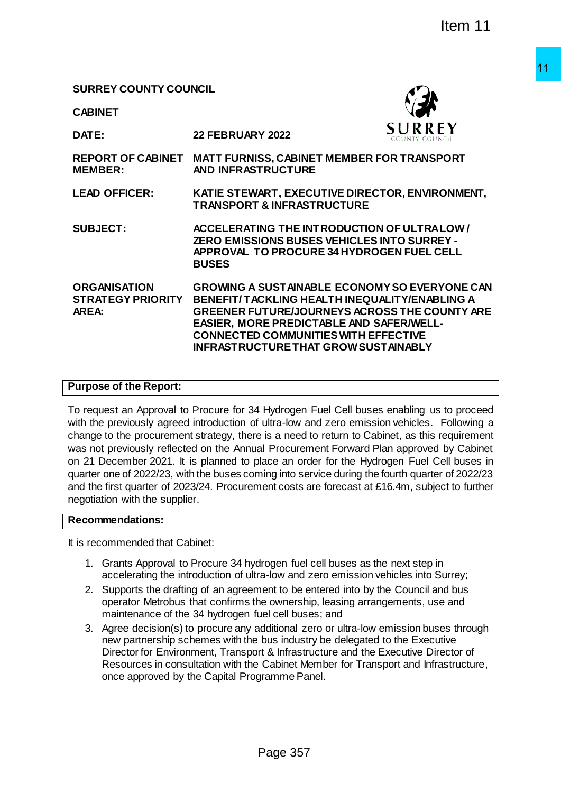## **SURREY COUNTY COUNCIL**

**CABINET**



**DATE: 22 FEBRUARY 2022**

**REPORT OF CABINET MATT FURNISS, CABINET MEMBER FOR TRANSPORT MEMBER: AND INFRASTRUCTURE** 

**LEAD OFFICER: KATIE STEWART, EXECUTIVE DIRECTOR, ENVIRONMENT, TRANSPORT & INFRASTRUCTURE**

**SUBJECT: ACCELERATING THE INTRODUCTION OF ULTRA LOW / ZERO EMISSIONS BUSES VEHICLES INTO SURREY - APPROVAL TO PROCURE 34 HYDROGEN FUEL CELL BUSES**

**ORGANISATION STRATEGY PRIORITY AREA: GROWING A SUSTAINABLE ECONOMY SO EVERYONE CAN BENEFIT/ TACKLING HEALTH INEQUALITY/ENABLING A GREENER FUTURE/JOURNEYS ACROSS THE COUNTY ARE EASIER, MORE PREDICTABLE AND SAFER/WELL-CONNECTED COMMUNITIES WITH EFFECTIVE INFRASTRUCTURE THAT GROW SUSTAINABLY**

### **Purpose of the Report:**

To request an Approval to Procure for 34 Hydrogen Fuel Cell buses enabling us to proceed with the previously agreed introduction of ultra-low and zero emission vehicles. Following a change to the procurement strategy, there is a need to return to Cabinet, as this requirement was not previously reflected on the Annual Procurement Forward Plan approved by Cabinet on 21 December 2021. It is planned to place an order for the Hydrogen Fuel Cell buses in quarter one of 2022/23, with the buses coming into service during the fourth quarter of 2022/23 and the first quarter of 2023/24. Procurement costs are forecast at £16.4m, subject to further negotiation with the supplier. Page 357 11 Item 11

#### **Recommendations:**

It is recommended that Cabinet:

- 1. Grants Approval to Procure 34 hydrogen fuel cell buses as the next step in accelerating the introduction of ultra-low and zero emission vehicles into Surrey;
- 2. Supports the drafting of an agreement to be entered into by the Council and bus operator Metrobus that confirms the ownership, leasing arrangements, use and maintenance of the 34 hydrogen fuel cell buses; and
- 3. Agree decision(s) to procure any additional zero or ultra-low emission buses through new partnership schemes with the bus industry be delegated to the Executive Director for Environment, Transport & Infrastructure and the Executive Director of Resources in consultation with the Cabinet Member for Transport and Infrastructure, once approved by the Capital Programme Panel.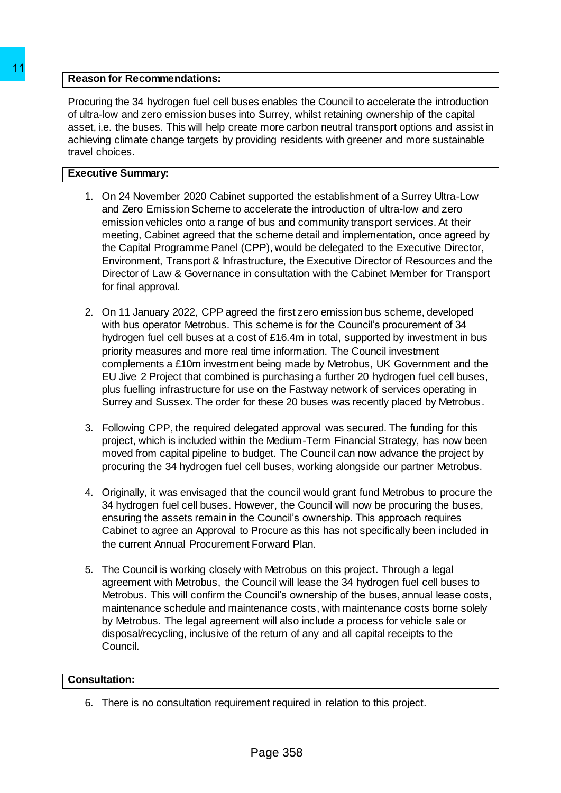## **Reason for Recommendations:**

Procuring the 34 hydrogen fuel cell buses enables the Council to accelerate the introduction of ultra-low and zero emission buses into Surrey, whilst retaining ownership of the capital asset, i.e. the buses. This will help create more carbon neutral transport options and assist in achieving climate change targets by providing residents with greener and more sustainable travel choices.

## **Executive Summary:**

- 1. On 24 November 2020 Cabinet supported the establishment of a Surrey Ultra-Low and Zero Emission Scheme to accelerate the introduction of ultra-low and zero emission vehicles onto a range of bus and community transport services. At their meeting, Cabinet agreed that the scheme detail and implementation, once agreed by the Capital Programme Panel (CPP), would be delegated to the Executive Director, Environment, Transport & Infrastructure, the Executive Director of Resources and the Director of Law & Governance in consultation with the Cabinet Member for Transport for final approval.
- 2. On 11 January 2022, CPP agreed the first zero emission bus scheme, developed with bus operator Metrobus. This scheme is for the Council's procurement of 34 hydrogen fuel cell buses at a cost of £16.4m in total, supported by investment in bus priority measures and more real time information. The Council investment complements a £10m investment being made by Metrobus, UK Government and the EU Jive 2 Project that combined is purchasing a further 20 hydrogen fuel cell buses, plus fuelling infrastructure for use on the Fastway network of services operating in Surrey and Sussex. The order for these 20 buses was recently placed by Metrobus. 11<br> **EReason for Recommendations:**<br>
Procuring the 34 hydrogen fuel cell buses enables<br>
of lutra-ion and zero emission buses into Surrey, we<br>
asset, i.e. the buses. This will help create more cart<br>
achieving climate change
	- 3. Following CPP, the required delegated approval was secured. The funding for this project, which is included within the Medium-Term Financial Strategy, has now been moved from capital pipeline to budget. The Council can now advance the project by procuring the 34 hydrogen fuel cell buses, working alongside our partner Metrobus.
	- 4. Originally, it was envisaged that the council would grant fund Metrobus to procure the 34 hydrogen fuel cell buses. However, the Council will now be procuring the buses, ensuring the assets remain in the Council's ownership. This approach requires Cabinet to agree an Approval to Procure as this has not specifically been included in the current Annual Procurement Forward Plan.
	- 5. The Council is working closely with Metrobus on this project. Through a legal agreement with Metrobus, the Council will lease the 34 hydrogen fuel cell buses to Metrobus. This will confirm the Council's ownership of the buses, annual lease costs, maintenance schedule and maintenance costs, with maintenance costs borne solely by Metrobus. The legal agreement will also include a process for vehicle sale or disposal/recycling, inclusive of the return of any and all capital receipts to the Council.

### **Consultation:**

6. There is no consultation requirement required in relation to this project.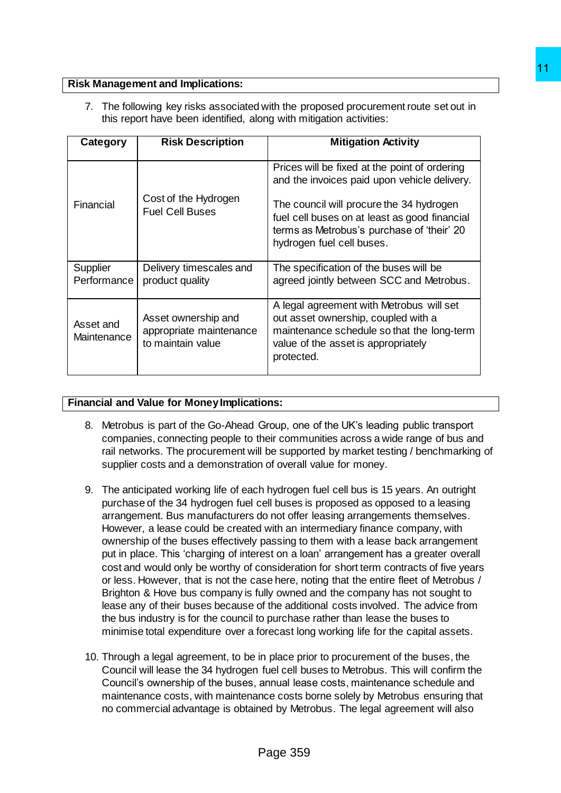## **Risk Management and Implications:**

|                          | this report have been identified, along with mitigation activities: | 7. The following key risks associated with the proposed procurement route set out in                                                                                                                                                                                                                                                                                                                                                                                                                                                                                                                                                                                                                                                                                                                                                                                                                                                                                                                                                                                                                                                             |
|--------------------------|---------------------------------------------------------------------|--------------------------------------------------------------------------------------------------------------------------------------------------------------------------------------------------------------------------------------------------------------------------------------------------------------------------------------------------------------------------------------------------------------------------------------------------------------------------------------------------------------------------------------------------------------------------------------------------------------------------------------------------------------------------------------------------------------------------------------------------------------------------------------------------------------------------------------------------------------------------------------------------------------------------------------------------------------------------------------------------------------------------------------------------------------------------------------------------------------------------------------------------|
| Category                 | <b>Risk Description</b>                                             | <b>Mitigation Activity</b>                                                                                                                                                                                                                                                                                                                                                                                                                                                                                                                                                                                                                                                                                                                                                                                                                                                                                                                                                                                                                                                                                                                       |
| Financial                | Cost of the Hydrogen<br><b>Fuel Cell Buses</b>                      | Prices will be fixed at the point of ordering<br>and the invoices paid upon vehicle delivery.<br>The council will procure the 34 hydrogen<br>fuel cell buses on at least as good financial<br>terms as Metrobus's purchase of 'their' 20<br>hydrogen fuel cell buses.                                                                                                                                                                                                                                                                                                                                                                                                                                                                                                                                                                                                                                                                                                                                                                                                                                                                            |
| Supplier<br>Performance  | Delivery timescales and<br>product quality                          | The specification of the buses will be<br>agreed jointly between SCC and Metrobus.                                                                                                                                                                                                                                                                                                                                                                                                                                                                                                                                                                                                                                                                                                                                                                                                                                                                                                                                                                                                                                                               |
| Asset and<br>Maintenance | Asset ownership and<br>appropriate maintenance<br>to maintain value | A legal agreement with Metrobus will set<br>out asset ownership, coupled with a<br>maintenance schedule so that the long-term<br>value of the asset is appropriately<br>protected.                                                                                                                                                                                                                                                                                                                                                                                                                                                                                                                                                                                                                                                                                                                                                                                                                                                                                                                                                               |
| 9.                       | supplier costs and a demonstration of overall value for money.      | The anticipated working life of each hydrogen fuel cell bus is 15 years. An outright<br>purchase of the 34 hydrogen fuel cell buses is proposed as opposed to a leasing<br>arrangement. Bus manufacturers do not offer leasing arrangements themselves.<br>However, a lease could be created with an intermediary finance company, with<br>ownership of the buses effectively passing to them with a lease back arrangement<br>put in place. This 'charging of interest on a loan' arrangement has a greater overall<br>cost and would only be worthy of consideration for short term contracts of five years<br>or less. However, that is not the case here, noting that the entire fleet of Metrobus /<br>Brighton & Hove bus company is fully owned and the company has not sought to<br>lease any of their buses because of the additional costs involved. The advice from<br>the bus industry is for the council to purchase rather than lease the buses to<br>minimise total expenditure over a forecast long working life for the capital assets.<br>10. Through a legal agreement, to be in place prior to procurement of the buses, the |
|                          |                                                                     | Council will lease the 34 hydrogen fuel cell buses to Metrobus. This will confirm the<br>Council's ownership of the buses, annual lease costs, maintenance schedule and<br>maintenance costs, with maintenance costs borne solely by Metrobus ensuring that<br>no commercial advantage is obtained by Metrobus. The legal agreement will also                                                                                                                                                                                                                                                                                                                                                                                                                                                                                                                                                                                                                                                                                                                                                                                                    |
|                          |                                                                     | Page 359                                                                                                                                                                                                                                                                                                                                                                                                                                                                                                                                                                                                                                                                                                                                                                                                                                                                                                                                                                                                                                                                                                                                         |

### **Financial and Value for Money Implications:**

- 8. Metrobus is part of the Go-Ahead Group, one of the UK's leading public transport companies, connecting people to their communities across a wide range of bus and rail networks. The procurement will be supported by market testing / benchmarking of supplier costs and a demonstration of overall value for money.
- 9. The anticipated working life of each hydrogen fuel cell bus is 15 years. An outright purchase of the 34 hydrogen fuel cell buses is proposed as opposed to a leasing arrangement. Bus manufacturers do not offer leasing arrangements themselves. However, a lease could be created with an intermediary finance company, with ownership of the buses effectively passing to them with a lease back arrangement put in place. This 'charging of interest on a loan' arrangement has a greater overall cost and would only be worthy of consideration for short term contracts of five years or less. However, that is not the case here, noting that the entire fleet of Metrobus / Brighton & Hove bus company is fully owned and the company has not sought to lease any of their buses because of the additional costs involved. The advice from the bus industry is for the council to purchase rather than lease the buses to minimise total expenditure over a forecast long working life for the capital assets.
- 10. Through a legal agreement, to be in place prior to procurement of the buses, the Council will lease the 34 hydrogen fuel cell buses to Metrobus. This will confirm the Council's ownership of the buses, annual lease costs, maintenance schedule and maintenance costs, with maintenance costs borne solely by Metrobus ensuring that no commercial advantage is obtained by Metrobus. The legal agreement will also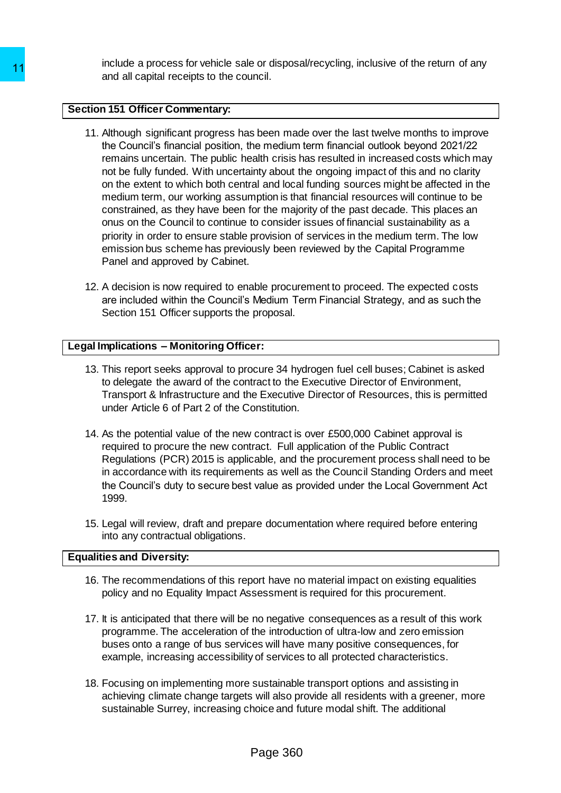include a process for vehicle sale or disposal/recycling, inclusive of the return of any and all capital receipts to the council.

## **Section 151 Officer Commentary:**

- 11. Although significant progress has been made over the last twelve months to improve the Council's financial position, the medium term financial outlook beyond 2021/22 remains uncertain. The public health crisis has resulted in increased costs which may not be fully funded. With uncertainty about the ongoing impact of this and no clarity on the extent to which both central and local funding sources might be affected in the medium term, our working assumption is that financial resources will continue to be constrained, as they have been for the majority of the past decade. This places an onus on the Council to continue to consider issues of financial sustainability as a priority in order to ensure stable provision of services in the medium term. The low emission bus scheme has previously been reviewed by the Capital Programme Panel and approved by Cabinet. 11 modula a photosa solic to the council.<br>
and all capital receipts to the council.<br>
11. Although significant progress has been mad<br>
the Council's financial position, the medium<br>
remains uncertain. The public health trials
	- 12. A decision is now required to enable procurement to proceed. The expected costs are included within the Council's Medium Term Financial Strategy, and as such the Section 151 Officer supports the proposal.

## **Legal Implications – Monitoring Officer:**

- 13. This report seeks approval to procure 34 hydrogen fuel cell buses; Cabinet is asked to delegate the award of the contract to the Executive Director of Environment, Transport & Infrastructure and the Executive Director of Resources, this is permitted under Article 6 of Part 2 of the Constitution.
- 14. As the potential value of the new contract is over £500,000 Cabinet approval is required to procure the new contract. Full application of the Public Contract Regulations (PCR) 2015 is applicable, and the procurement process shall need to be in accordance with its requirements as well as the Council Standing Orders and meet the Council's duty to secure best value as provided under the Local Government Act 1999.
- 15. Legal will review, draft and prepare documentation where required before entering into any contractual obligations.

## **Equalities and Diversity:**

- 16. The recommendations of this report have no material impact on existing equalities policy and no Equality Impact Assessment is required for this procurement.
- 17. It is anticipated that there will be no negative consequences as a result of this work programme. The acceleration of the introduction of ultra-low and zero emission buses onto a range of bus services will have many positive consequences, for example, increasing accessibility of services to all protected characteristics.
- 18. Focusing on implementing more sustainable transport options and assisting in achieving climate change targets will also provide all residents with a greener, more sustainable Surrey, increasing choice and future modal shift. The additional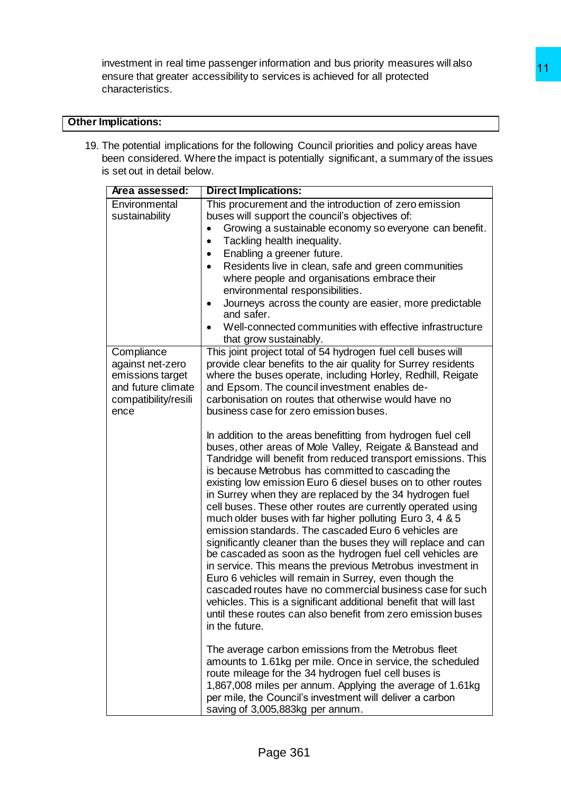investment in real time passenger information and bus priority measures will also ensure that greater accessibility to services is achieved for all protected characteristics.

# **Other Implications:**

19. The potential implications for the following Council priorities and policy areas have been considered. Where the impact is potentially significant, a summary of the issues is set out in detail below.

| <b>nplications:</b>                                                                                      |                                                                                                                                                                                                                                                                                                                                                                                                                                                                                                                                                                                                                                                                                                                         |
|----------------------------------------------------------------------------------------------------------|-------------------------------------------------------------------------------------------------------------------------------------------------------------------------------------------------------------------------------------------------------------------------------------------------------------------------------------------------------------------------------------------------------------------------------------------------------------------------------------------------------------------------------------------------------------------------------------------------------------------------------------------------------------------------------------------------------------------------|
| s set out in detail below.                                                                               | he potential implications for the following Council priorities and policy areas have<br>een considered. Where the impact is potentially significant, a summary of the issues                                                                                                                                                                                                                                                                                                                                                                                                                                                                                                                                            |
| Area assessed:                                                                                           | <b>Direct Implications:</b>                                                                                                                                                                                                                                                                                                                                                                                                                                                                                                                                                                                                                                                                                             |
| Environmental<br>sustainability                                                                          | This procurement and the introduction of zero emission<br>buses will support the council's objectives of:<br>Growing a sustainable economy so everyone can benefit.<br>Tackling health inequality.<br>Enabling a greener future.<br>$\bullet$<br>Residents live in clean, safe and green communities<br>where people and organisations embrace their<br>environmental responsibilities.<br>Journeys across the county are easier, more predictable<br>٠<br>and safer.<br>Well-connected communities with effective infrastructure<br>that grow sustainably.                                                                                                                                                             |
| Compliance<br>against net-zero<br>emissions target<br>and future climate<br>compatibility/resili<br>ence | This joint project total of 54 hydrogen fuel cell buses will<br>provide clear benefits to the air quality for Surrey residents<br>where the buses operate, including Horley, Redhill, Reigate<br>and Epsom. The council investment enables de-<br>carbonisation on routes that otherwise would have no<br>business case for zero emission buses.<br>In addition to the areas benefitting from hydrogen fuel cell<br>buses, other areas of Mole Valley, Reigate & Banstead and<br>Tandridge will benefit from reduced transport emissions. This<br>is because Metrobus has committed to cascading the<br>existing low emission Euro 6 diesel buses on to other routes                                                    |
|                                                                                                          | in Surrey when they are replaced by the 34 hydrogen fuel<br>cell buses. These other routes are currently operated using<br>much older buses with far higher polluting Euro 3, 4 & 5<br>emission standards. The cascaded Euro 6 vehicles are<br>significantly cleaner than the buses they will replace and can<br>be cascaded as soon as the hydrogen fuel cell vehicles are<br>in service. This means the previous Metrobus investment in<br>Euro 6 vehicles will remain in Surrey, even though the<br>cascaded routes have no commercial business case for such<br>vehicles. This is a significant additional benefit that will last<br>until these routes can also benefit from zero emission buses<br>in the future. |
|                                                                                                          | The average carbon emissions from the Metrobus fleet<br>amounts to 1.61kg per mile. Once in service, the scheduled<br>route mileage for the 34 hydrogen fuel cell buses is<br>1,867,008 miles per annum. Applying the average of 1.61kg<br>per mile, the Council's investment will deliver a carbon<br>saving of 3,005,883kg per annum.                                                                                                                                                                                                                                                                                                                                                                                 |